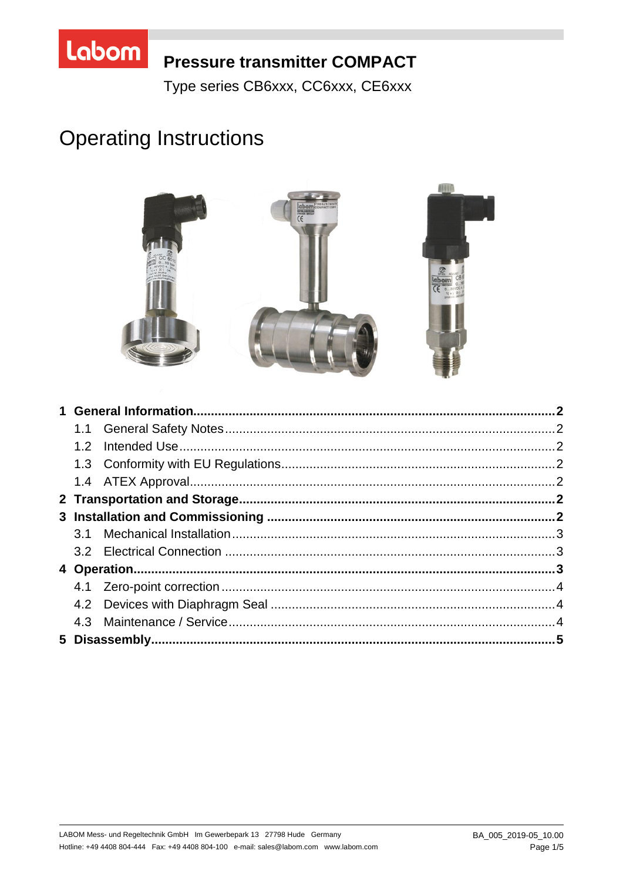

# **Pressure transmitter COMPACT**

Type series CB6xxx, CC6xxx, CE6xxx

# **Operating Instructions**

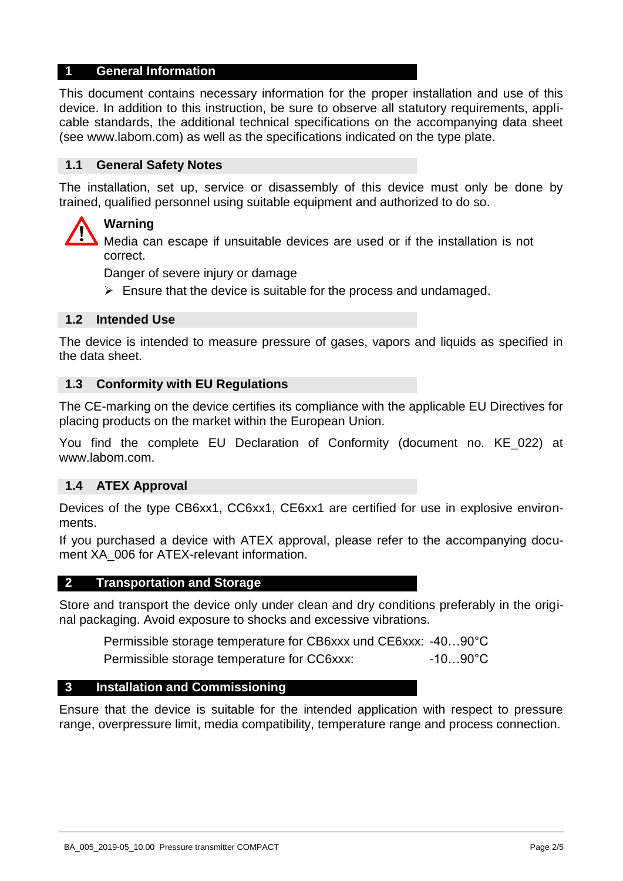#### **1 General Information**

This document contains necessary information for the proper installation and use of this device. In addition to this instruction, be sure to observe all statutory requirements, applicable standards, the additional technical specifications on the accompanying data sheet (see www.labom.com) as well as the specifications indicated on the type plate.

#### **1.1 General Safety Notes**

The installation, set up, service or disassembly of this device must only be done by trained, qualified personnel using suitable equipment and authorized to do so.

# **Warning**

Media can escape if unsuitable devices are used or if the installation is not correct.

Danger of severe injury or damage

 $\triangleright$  Ensure that the device is suitable for the process and undamaged.

#### **1.2 Intended Use**

The device is intended to measure pressure of gases, vapors and liquids as specified in the data sheet.

#### **1.3 Conformity with EU Regulations**

The CE-marking on the device certifies its compliance with the applicable EU Directives for placing products on the market within the European Union.

You find the complete EU Declaration of Conformity (document no. KE\_022) at www.labom.com.

#### **1.4 ATEX Approval**

Devices of the type CB6xx1, CC6xx1, CE6xx1 are certified for use in explosive environments.

If you purchased a device with ATEX approval, please refer to the accompanying document XA 006 for ATEX-relevant information.

#### **2 Transportation and Storage**

Store and transport the device only under clean and dry conditions preferably in the original packaging. Avoid exposure to shocks and excessive vibrations.

Permissible storage temperature for CB6xxx und CE6xxx: -40…90°C

Permissible storage temperature for CC6xxx: -10...90°C

#### **3 Installation and Commissioning**

Ensure that the device is suitable for the intended application with respect to pressure range, overpressure limit, media compatibility, temperature range and process connection.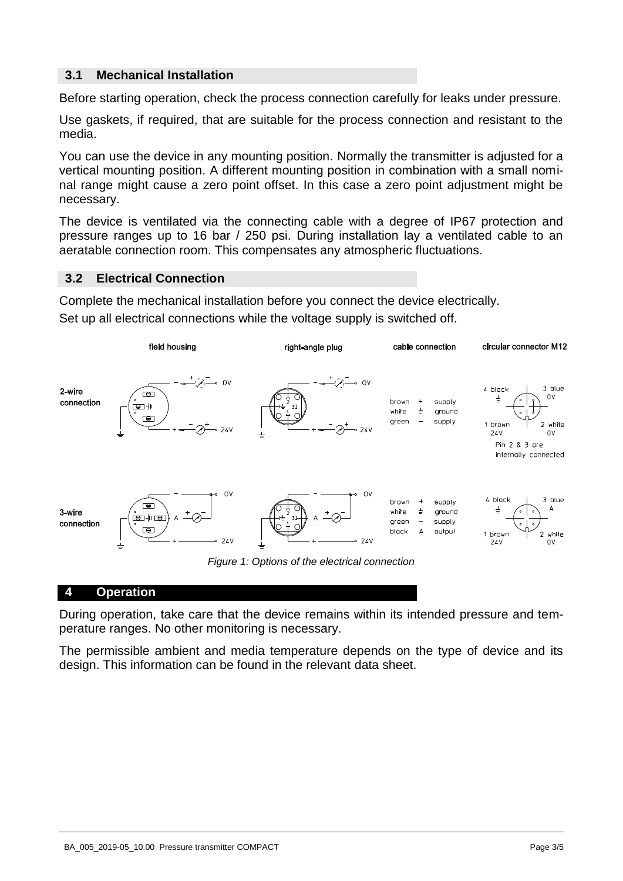# **3.1 Mechanical Installation**

Before starting operation, check the process connection carefully for leaks under pressure.

Use gaskets, if required, that are suitable for the process connection and resistant to the media.

You can use the device in any mounting position. Normally the transmitter is adjusted for a vertical mounting position. A different mounting position in combination with a small nominal range might cause a zero point offset. In this case a zero point adjustment might be necessary.

The device is ventilated via the connecting cable with a degree of IP67 protection and pressure ranges up to 16 bar / 250 psi. During installation lay a ventilated cable to an aeratable connection room. This compensates any atmospheric fluctuations.

### **3.2 Electrical Connection**

Complete the mechanical installation before you connect the device electrically. Set up all electrical connections while the voltage supply is switched off.



#### **4 Operation**

During operation, take care that the device remains within its intended pressure and temperature ranges. No other monitoring is necessary.

The permissible ambient and media temperature depends on the type of device and its design. This information can be found in the relevant data sheet.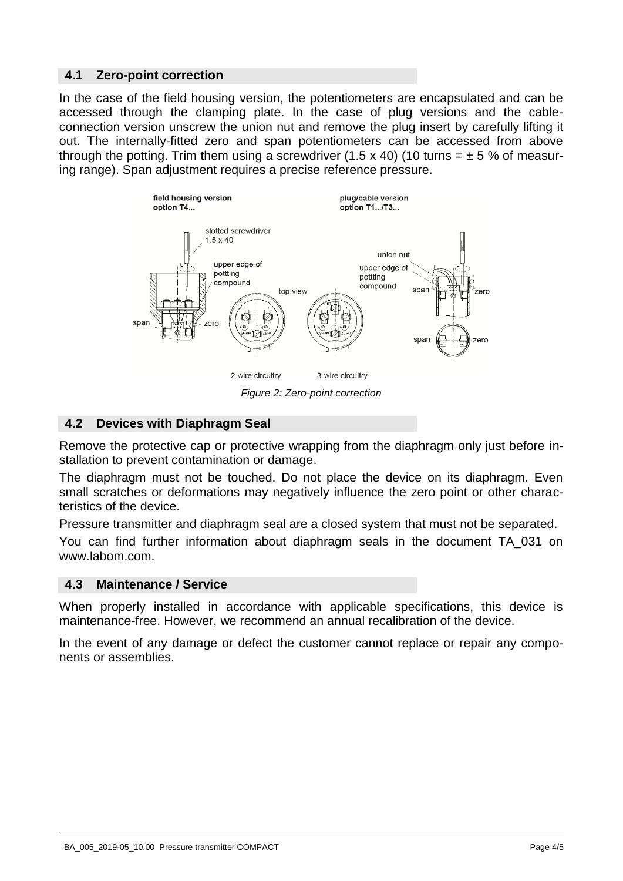# **4.1 Zero-point correction**

In the case of the field housing version, the potentiometers are encapsulated and can be accessed through the clamping plate. In the case of plug versions and the cableconnection version unscrew the union nut and remove the plug insert by carefully lifting it out. The internally-fitted zero and span potentiometers can be accessed from above through the potting. Trim them using a screwdriver (1.5 x 40) (10 turns =  $\pm$  5 % of measuring range). Span adjustment requires a precise reference pressure.



# **4.2 Devices with Diaphragm Seal**

Remove the protective cap or protective wrapping from the diaphragm only just before installation to prevent contamination or damage.

The diaphragm must not be touched. Do not place the device on its diaphragm. Even small scratches or deformations may negatively influence the zero point or other characteristics of the device.

Pressure transmitter and diaphragm seal are a closed system that must not be separated.

You can find further information about diaphragm seals in the document TA\_031 on www.labom.com.

### **4.3 Maintenance / Service**

When properly installed in accordance with applicable specifications, this device is maintenance-free. However, we recommend an annual recalibration of the device.

In the event of any damage or defect the customer cannot replace or repair any components or assemblies.